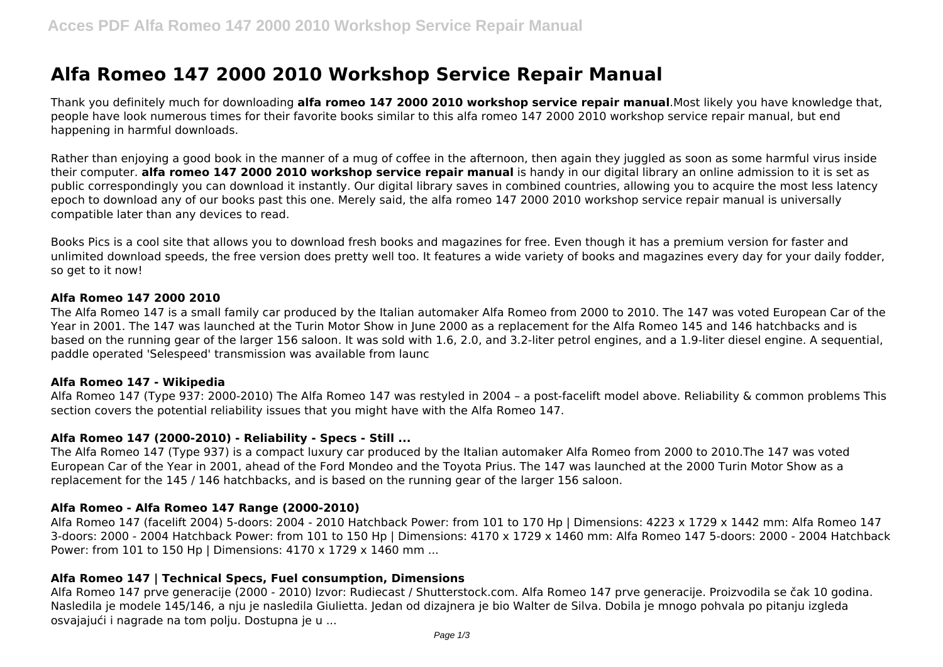# **Alfa Romeo 147 2000 2010 Workshop Service Repair Manual**

Thank you definitely much for downloading **alfa romeo 147 2000 2010 workshop service repair manual**.Most likely you have knowledge that, people have look numerous times for their favorite books similar to this alfa romeo 147 2000 2010 workshop service repair manual, but end happening in harmful downloads.

Rather than enjoying a good book in the manner of a mug of coffee in the afternoon, then again they juggled as soon as some harmful virus inside their computer. **alfa romeo 147 2000 2010 workshop service repair manual** is handy in our digital library an online admission to it is set as public correspondingly you can download it instantly. Our digital library saves in combined countries, allowing you to acquire the most less latency epoch to download any of our books past this one. Merely said, the alfa romeo 147 2000 2010 workshop service repair manual is universally compatible later than any devices to read.

Books Pics is a cool site that allows you to download fresh books and magazines for free. Even though it has a premium version for faster and unlimited download speeds, the free version does pretty well too. It features a wide variety of books and magazines every day for your daily fodder, so get to it now!

#### **Alfa Romeo 147 2000 2010**

The Alfa Romeo 147 is a small family car produced by the Italian automaker Alfa Romeo from 2000 to 2010. The 147 was voted European Car of the Year in 2001. The 147 was launched at the Turin Motor Show in June 2000 as a replacement for the Alfa Romeo 145 and 146 hatchbacks and is based on the running gear of the larger 156 saloon. It was sold with 1.6, 2.0, and 3.2-liter petrol engines, and a 1.9-liter diesel engine. A sequential, paddle operated 'Selespeed' transmission was available from launc

#### **Alfa Romeo 147 - Wikipedia**

Alfa Romeo 147 (Type 937: 2000-2010) The Alfa Romeo 147 was restyled in 2004 – a post-facelift model above. Reliability & common problems This section covers the potential reliability issues that you might have with the Alfa Romeo 147.

# **Alfa Romeo 147 (2000-2010) - Reliability - Specs - Still ...**

The Alfa Romeo 147 (Type 937) is a compact luxury car produced by the Italian automaker Alfa Romeo from 2000 to 2010.The 147 was voted European Car of the Year in 2001, ahead of the Ford Mondeo and the Toyota Prius. The 147 was launched at the 2000 Turin Motor Show as a replacement for the 145 / 146 hatchbacks, and is based on the running gear of the larger 156 saloon.

# **Alfa Romeo - Alfa Romeo 147 Range (2000-2010)**

Alfa Romeo 147 (facelift 2004) 5-doors: 2004 - 2010 Hatchback Power: from 101 to 170 Hp | Dimensions: 4223 x 1729 x 1442 mm: Alfa Romeo 147 3-doors: 2000 - 2004 Hatchback Power: from 101 to 150 Hp | Dimensions: 4170 x 1729 x 1460 mm: Alfa Romeo 147 5-doors: 2000 - 2004 Hatchback Power: from 101 to 150 Hp | Dimensions: 4170 x 1729 x 1460 mm ...

# **Alfa Romeo 147 | Technical Specs, Fuel consumption, Dimensions**

Alfa Romeo 147 prve generacije (2000 - 2010) Izvor: Rudiecast / Shutterstock.com. Alfa Romeo 147 prve generacije. Proizvodila se čak 10 godina. Nasledila je modele 145/146, a nju je nasledila Giulietta. Jedan od dizajnera je bio Walter de Silva. Dobila je mnogo pohvala po pitanju izgleda osvajajući i nagrade na tom polju. Dostupna je u ...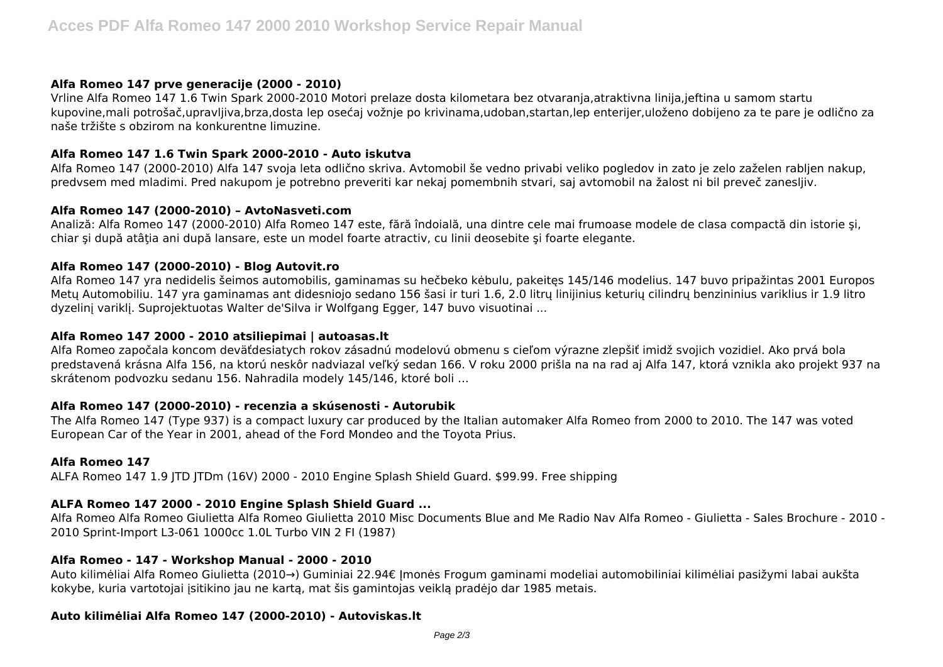#### **Alfa Romeo 147 prve generacije (2000 - 2010)**

Vrline Alfa Romeo 147 1.6 Twin Spark 2000-2010 Motori prelaze dosta kilometara bez otvaranja,atraktivna linija,jeftina u samom startu kupovine,mali potrošač,upravljiva,brza,dosta lep osećaj vožnje po krivinama,udoban,startan,lep enterijer,uloženo dobijeno za te pare je odlično za naše tržište s obzirom na konkurentne limuzine.

## **Alfa Romeo 147 1.6 Twin Spark 2000-2010 - Auto iskutva**

Alfa Romeo 147 (2000-2010) Alfa 147 svoja leta odlično skriva. Avtomobil še vedno privabi veliko pogledov in zato je zelo zaželen rabljen nakup, predvsem med mladimi. Pred nakupom je potrebno preveriti kar nekaj pomembnih stvari, saj avtomobil na žalost ni bil preveč zanesljiv.

#### **Alfa Romeo 147 (2000-2010) – AvtoNasveti.com**

Analiză: Alfa Romeo 147 (2000-2010) Alfa Romeo 147 este, fără îndoială, una dintre cele mai frumoase modele de clasa compactă din istorie şi, chiar şi după atâţia ani după lansare, este un model foarte atractiv, cu linii deosebite şi foarte elegante.

## **Alfa Romeo 147 (2000-2010) - Blog Autovit.ro**

Alfa Romeo 147 yra nedidelis šeimos automobilis, gaminamas su hečbeko kėbulu, pakeitęs 145/146 modelius. 147 buvo pripažintas 2001 Europos Metų Automobiliu. 147 yra gaminamas ant didesniojo sedano 156 šasi ir turi 1.6, 2.0 litrų linijinius keturių cilindrų benzininius variklius ir 1.9 litro dyzelinį variklį. Suprojektuotas Walter de'Silva ir Wolfgang Egger, 147 buvo visuotinai ...

#### **Alfa Romeo 147 2000 - 2010 atsiliepimai | autoasas.lt**

Alfa Romeo započala koncom deväťdesiatych rokov zásadnú modelovú obmenu s cieľom výrazne zlepšiť imidž svojich vozidiel. Ako prvá bola predstavená krásna Alfa 156, na ktorú neskôr nadviazal veľký sedan 166. V roku 2000 prišla na na rad aj Alfa 147, ktorá vznikla ako projekt 937 na skrátenom podvozku sedanu 156. Nahradila modely 145/146, ktoré boli …

#### **Alfa Romeo 147 (2000-2010) - recenzia a skúsenosti - Autorubik**

The Alfa Romeo 147 (Type 937) is a compact luxury car produced by the Italian automaker Alfa Romeo from 2000 to 2010. The 147 was voted European Car of the Year in 2001, ahead of the Ford Mondeo and the Toyota Prius.

#### **Alfa Romeo 147**

ALFA Romeo 147 1.9 JTD JTDm (16V) 2000 - 2010 Engine Splash Shield Guard. \$99.99. Free shipping

# **ALFA Romeo 147 2000 - 2010 Engine Splash Shield Guard ...**

Alfa Romeo Alfa Romeo Giulietta Alfa Romeo Giulietta 2010 Misc Documents Blue and Me Radio Nav Alfa Romeo - Giulietta - Sales Brochure - 2010 - 2010 Sprint-Import L3-061 1000cc 1.0L Turbo VIN 2 FI (1987)

#### **Alfa Romeo - 147 - Workshop Manual - 2000 - 2010**

Auto kilimėliai Alfa Romeo Giulietta (2010→) Guminiai 22.94€ Įmonės Frogum gaminami modeliai automobiliniai kilimėliai pasižymi labai aukšta kokybe, kuria vartotojai įsitikino jau ne kartą, mat šis gamintojas veiklą pradėjo dar 1985 metais.

## **Auto kilimėliai Alfa Romeo 147 (2000-2010) - Autoviskas.lt**